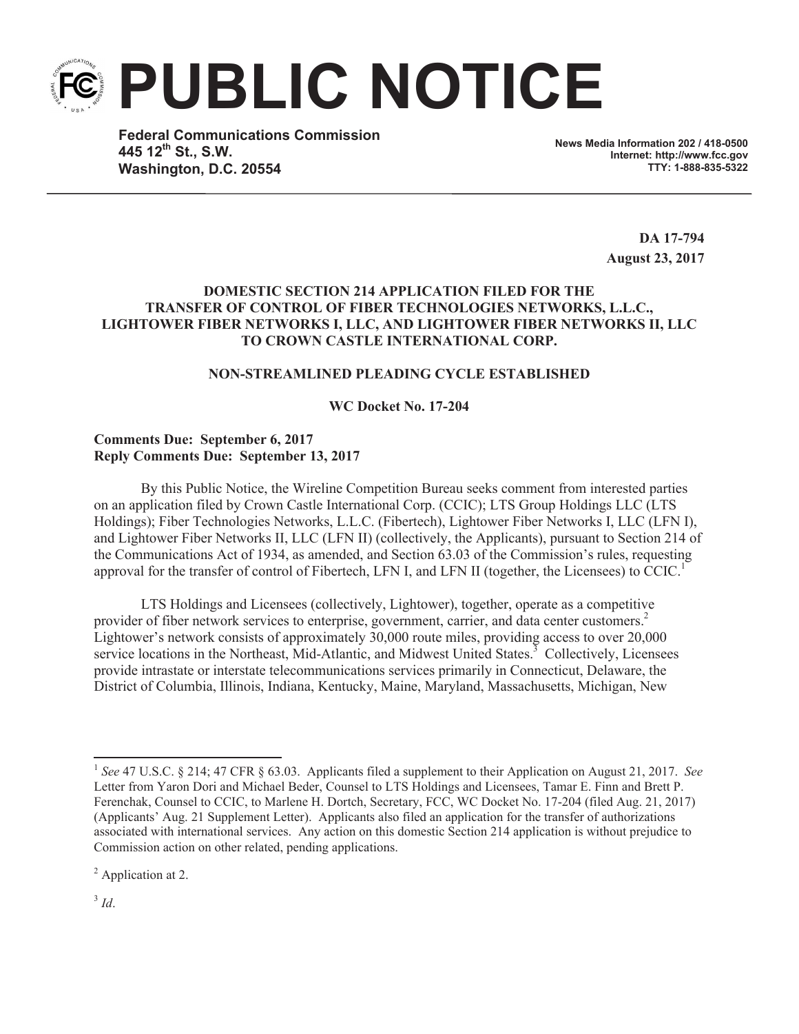

**Federal Communications Commission 445 12 th St., S.W. Washington, D.C. 20554**

**News Media Information 202 / 418-0500 Internet: http://www.fcc.gov TTY: 1-888-835-5322**

> **DA 17-794 August 23, 2017**

## **DOMESTIC SECTION 214 APPLICATION FILED FOR THE TRANSFER OF CONTROL OF FIBER TECHNOLOGIES NETWORKS, L.L.C., LIGHTOWER FIBER NETWORKS I, LLC, AND LIGHTOWER FIBER NETWORKS II, LLC TO CROWN CASTLE INTERNATIONAL CORP.**

## **NON-STREAMLINED PLEADING CYCLE ESTABLISHED**

### **WC Docket No. 17-204**

# **Comments Due: September 6, 2017 Reply Comments Due: September 13, 2017**

By this Public Notice, the Wireline Competition Bureau seeks comment from interested parties on an application filed by Crown Castle International Corp. (CCIC); LTS Group Holdings LLC (LTS Holdings); Fiber Technologies Networks, L.L.C. (Fibertech), Lightower Fiber Networks I, LLC (LFN I), and Lightower Fiber Networks II, LLC (LFN II) (collectively, the Applicants), pursuant to Section 214 of the Communications Act of 1934, as amended, and Section 63.03 of the Commission's rules, requesting approval for the transfer of control of Fibertech, LFN I, and LFN II (together, the Licensees) to  $CCIC$ <sup>1</sup>.

LTS Holdings and Licensees (collectively, Lightower), together, operate as a competitive provider of fiber network services to enterprise, government, carrier, and data center customers.<sup>2</sup> Lightower's network consists of approximately 30,000 route miles, providing access to over 20,000 service locations in the Northeast, Mid-Atlantic, and Midwest United States.<sup>3</sup> Collectively, Licensees provide intrastate or interstate telecommunications services primarily in Connecticut, Delaware, the District of Columbia, Illinois, Indiana, Kentucky, Maine, Maryland, Massachusetts, Michigan, New

<sup>2</sup> Application at 2.

3 *Id*.

<sup>1</sup> *See* 47 U.S.C. § 214; 47 CFR § 63.03. Applicants filed a supplement to their Application on August 21, 2017. *See* Letter from Yaron Dori and Michael Beder, Counsel to LTS Holdings and Licensees, Tamar E. Finn and Brett P. Ferenchak, Counsel to CCIC, to Marlene H. Dortch, Secretary, FCC, WC Docket No. 17-204 (filed Aug. 21, 2017) (Applicants' Aug. 21 Supplement Letter). Applicants also filed an application for the transfer of authorizations associated with international services. Any action on this domestic Section 214 application is without prejudice to Commission action on other related, pending applications.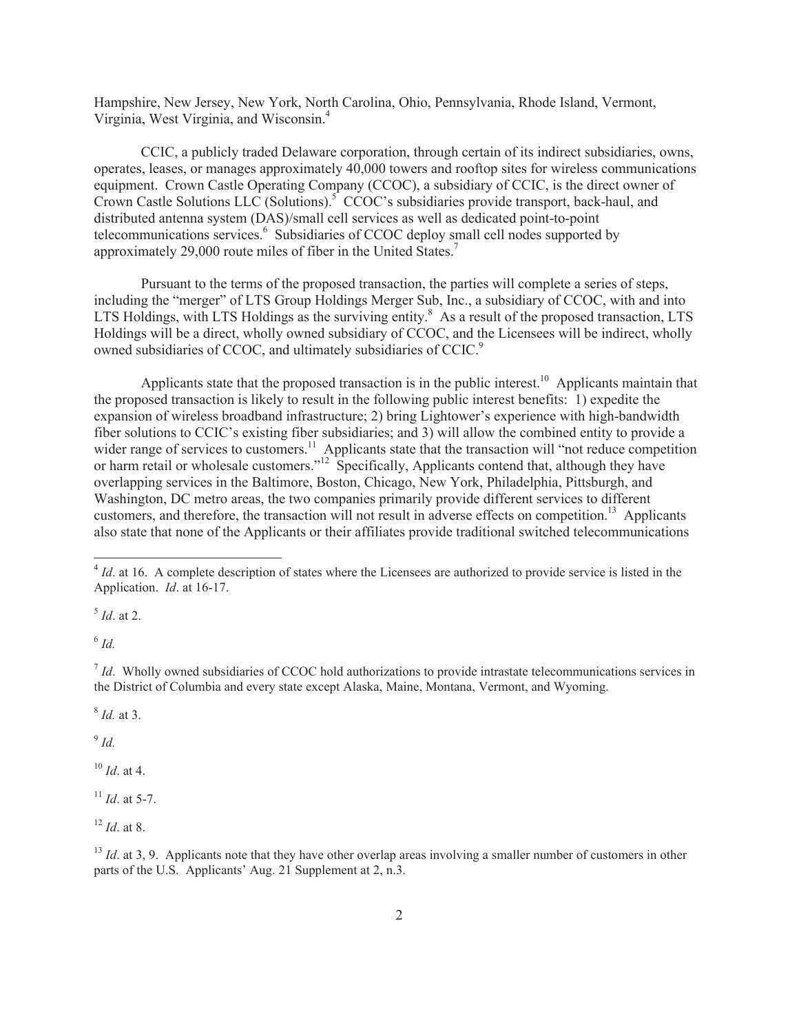Hampshire, New Jersey, New York, North Carolina, Ohio, Pennsylvania, Rhode Island, Vermont, Virginia, West Virginia, and Wisconsin.<sup>4</sup>

CCIC, a publicly traded Delaware corporation, through certain of its indirect subsidiaries, owns, operates, leases, or manages approximately 40,000 towers and rooftop sites for wireless communications equipment. Crown Castle Operating Company (CCOC), a subsidiary of CCIC, is the direct owner of Crown Castle Solutions LLC (Solutions).<sup>5</sup> CCOC's subsidiaries provide transport, back-haul, and distributed antenna system (DAS)/small cell services as well as dedicated point-to-point telecommunications services.<sup>6</sup> Subsidiaries of CCOC deploy small cell nodes supported by approximately 29,000 route miles of fiber in the United States.<sup>7</sup>

Pursuant to the terms of the proposed transaction, the parties will complete a series of steps, including the "merger" of LTS Group Holdings Merger Sub, Inc., a subsidiary of CCOC, with and into LTS Holdings, with LTS Holdings as the surviving entity.<sup>8</sup> As a result of the proposed transaction, LTS Holdings will be a direct, wholly owned subsidiary of CCOC, and the Licensees will be indirect, wholly owned subsidiaries of CCOC, and ultimately subsidiaries of CCIC.<sup>9</sup>

Applicants state that the proposed transaction is in the public interest.<sup>10</sup> Applicants maintain that the proposed transaction is likely to result in the following public interest benefits: 1) expedite the expansion of wireless broadband infrastructure; 2) bring Lightower's experience with high-bandwidth fiber solutions to CCIC's existing fiber subsidiaries; and 3) will allow the combined entity to provide a wider range of services to customers.<sup>11</sup> Applicants state that the transaction will "not reduce competition or harm retail or wholesale customers."<sup>12</sup> Specifically, Applicants contend that, although they have overlapping services in the Baltimore, Boston, Chicago, New York, Philadelphia, Pittsburgh, and Washington, DC metro areas, the two companies primarily provide different services to different customers, and therefore, the transaction will not result in adverse effects on competition.<sup>13</sup> Applicants also state that none of the Applicants or their affiliates provide traditional switched telecommunications

5 *Id*. at 2.

6 *Id.*

<sup>7</sup> *Id*. Wholly owned subsidiaries of CCOC hold authorizations to provide intrastate telecommunications services in the District of Columbia and every state except Alaska, Maine, Montana, Vermont, and Wyoming.

8 *Id.* at 3.

9 *Id.*

<sup>10</sup> *Id*. at 4.

<sup>11</sup> *Id*. at 5-7.

<sup>12</sup> *Id*. at 8.

<sup>13</sup> *Id.* at 3, 9. Applicants note that they have other overlap areas involving a smaller number of customers in other parts of the U.S. Applicants' Aug. 21 Supplement at 2, n.3.

<sup>&</sup>lt;sup>4</sup> *Id*. at 16. A complete description of states where the Licensees are authorized to provide service is listed in the Application. *Id*. at 16-17.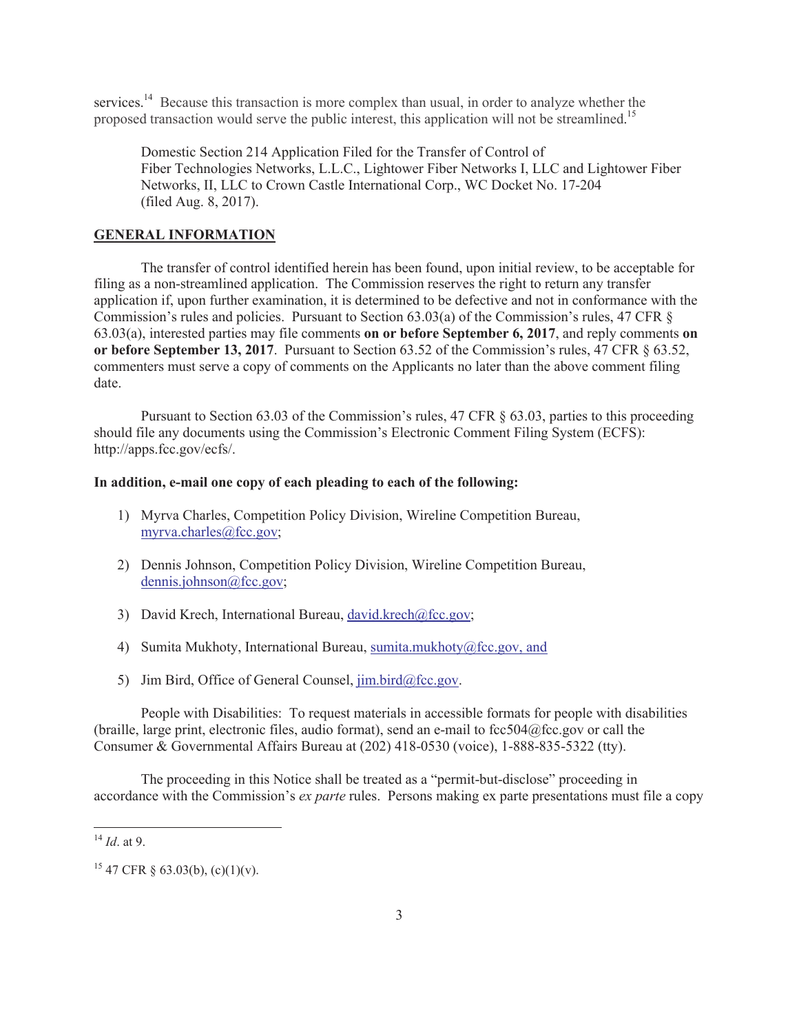services.<sup>14</sup> Because this transaction is more complex than usual, in order to analyze whether the proposed transaction would serve the public interest, this application will not be streamlined.<sup>15</sup>

Domestic Section 214 Application Filed for the Transfer of Control of Fiber Technologies Networks, L.L.C., Lightower Fiber Networks I, LLC and Lightower Fiber Networks, II, LLC to Crown Castle International Corp., WC Docket No. 17-204 (filed Aug. 8, 2017).

### **GENERAL INFORMATION**

The transfer of control identified herein has been found, upon initial review, to be acceptable for filing as a non-streamlined application. The Commission reserves the right to return any transfer application if, upon further examination, it is determined to be defective and not in conformance with the Commission's rules and policies. Pursuant to Section 63.03(a) of the Commission's rules, 47 CFR § 63.03(a), interested parties may file comments **on or before September 6, 2017**, and reply comments **on or before September 13, 2017**. Pursuant to Section 63.52 of the Commission's rules, 47 CFR § 63.52, commenters must serve a copy of comments on the Applicants no later than the above comment filing date.

Pursuant to Section 63.03 of the Commission's rules, 47 CFR § 63.03, parties to this proceeding should file any documents using the Commission's Electronic Comment Filing System (ECFS): http://apps.fcc.gov/ecfs/.

#### **In addition, e-mail one copy of each pleading to each of the following:**

- 1) Myrva Charles, Competition Policy Division, Wireline Competition Bureau, myrva.charles@fcc.gov;
- 2) Dennis Johnson, Competition Policy Division, Wireline Competition Bureau, dennis.johnson@fcc.gov;
- 3) David Krech, International Bureau, david.krech@fcc.gov;
- 4) Sumita Mukhoty, International Bureau, sumita.mukhoty@fcc.gov, and
- 5) Jim Bird, Office of General Counsel,  $\lim_{h \to 0} \frac{\text{bird}(\partial \text{fcc.gov})}{\text{dot}(\partial \text{fcc.gov})}$ .

People with Disabilities: To request materials in accessible formats for people with disabilities (braille, large print, electronic files, audio format), send an e-mail to fcc504@fcc.gov or call the Consumer & Governmental Affairs Bureau at (202) 418-0530 (voice), 1-888-835-5322 (tty).

The proceeding in this Notice shall be treated as a "permit-but-disclose" proceeding in accordance with the Commission's *ex parte* rules. Persons making ex parte presentations must file a copy

<sup>14</sup> *Id*. at 9.

<sup>&</sup>lt;sup>15</sup> 47 CFR § 63.03(b), (c)(1)(v).